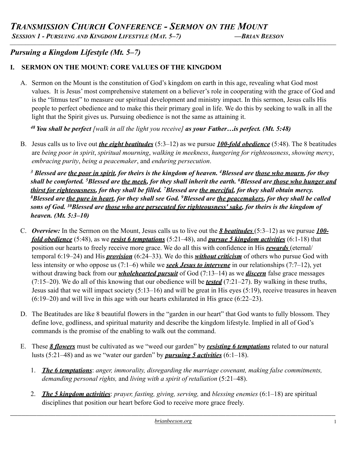*SESSION 1 - PURSUING AND KINGDOM LIFESTYLE (MAT. 5–7) —BRIAN BEESON \_\_\_\_\_\_\_\_\_\_\_\_\_\_\_\_\_\_\_\_\_\_\_\_\_\_\_\_\_\_\_\_\_\_\_\_\_\_\_\_\_\_\_\_\_\_\_\_\_\_\_\_\_\_\_\_\_\_\_\_\_\_\_\_\_\_\_\_\_\_\_\_\_\_\_\_\_\_\_\_\_\_\_\_\_\_\_\_\_\_\_\_\_\_\_\_\_\_\_\_\_\_\_\_\_\_\_\_\_\_\_\_\_\_\_\_\_\_\_\_\_\_\_\_\_\_\_\_\_\_\_\_\_\_\_\_\_\_\_\_\_\_\_\_*

# *Pursuing a Kingdom Lifestyle (Mt. 5–7)*

## **I. SERMON ON THE MOUNT: CORE VALUES OF THE KINGDOM**

A. Sermon on the Mount is the constitution of God's kingdom on earth in this age, revealing what God most values. It is Jesus' most comprehensive statement on a believer's role in cooperating with the grace of God and is the "litmus test" to measure our spiritual development and ministry impact. In this sermon, Jesus calls His people to perfect obedience and to make this their primary goal in life. We do this by seeking to walk in all the light that the Spirit gives us. Pursuing obedience is not the same as attaining it.

*48 You shall be perfect [walk in all the light you receive] as your Father…is perfect. (Mt. 5:48)*

B. Jesus calls us to live out *the eight beatitudes* (5:3–12) as we pursue *100-fold obedience* (5:48). The 8 beatitudes are *being poor in spirit*, *spiritual mourning*, *walking in meekness*, *hungering for righteousness*, *showing mercy*, *embracing purity*, *being a peacemaker*, and *enduring persecution*.

*3 Blessed are the poor in spirit, for theirs is the kingdom of heaven. 4Blessed are those who mourn, for they shall be comforted. 5Blessed are the meek, for they shall inherit the earth. 6Blessed are those who hunger and thirst for righteousness, for they shall be filled. 7Blessed are the merciful, for they shall obtain mercy. 8Blessed are the pure in heart, for they shall see God. 9Blessed are the peacemakers, for they shall be called sons of God. 10Blessed are those who are persecuted for righteousness' sake, for theirs is the kingdom of heaven. (Mt. 5:3–10)* 

- C. *Overview:* In the Sermon on the Mount, Jesus calls us to live out the *8 beatitudes* (5:3–12) as we pursue *100 fold obedience* (5:48), as we *resist 6 temptations* (5:21–48), and *pursue 5 kingdom activities* (6:1-18) that position our hearts to freely receive more grace. We do all this with confidence in His *rewards* (eternal/ temporal 6:19–24) and His *provision* (6:24–33). We do this *without criticism* of others who pursue God with less intensity or who oppose us (7:1–6) while we *seek Jesus to intervene* in our relationships (7:7–12), yet without drawing back from our *wholehearted pursuit* of God (7:13–14) as we *discern* false grace messages (7:15–20). We do all of this knowing that our obedience will be *tested* (7:21–27). By walking in these truths, Jesus said that we will impact society (5:13–16) and will be great in His eyes (5:19), receive treasures in heaven (6:19–20) and will live in this age with our hearts exhilarated in His grace (6:22–23).
- D. The Beatitudes are like 8 beautiful flowers in the "garden in our heart" that God wants to fully blossom. They define love, godliness, and spiritual maturity and describe the kingdom lifestyle. Implied in all of God's commands is the promise of the enabling to walk out the command.
- E. These *8 flowers* must be cultivated as we "weed our garden" by *resisting 6 temptations* related to our natural lusts (5:21–48) and as we "water our garden" by *pursuing 5 activities* (6:1–18).
	- 1. *The 6 temptations*: *anger, immorality, disregarding the marriage covenant, making false commitments, demanding personal rights,* and *living with a spirit of retaliation* (5:21–48).
	- 2. *The 5 kingdom activities*: *prayer, fasting, giving, serving,* and *blessing enemies* (6:1–18) are spiritual disciplines that position our heart before God to receive more grace freely.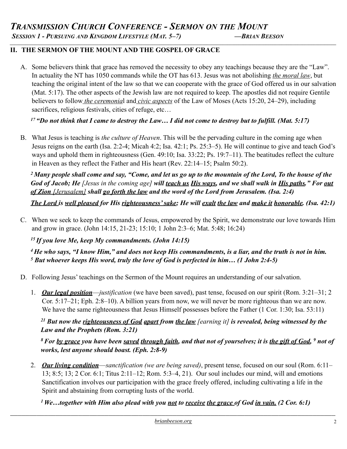### **II. THE SERMON OF THE MOUNT AND THE GOSPEL OF GRACE**

A. Some believers think that grace has removed the necessity to obey any teachings because they are the "Law". In actuality the NT has 1050 commands while the OT has 613. Jesus was not abolishing *the moral law*, but teaching the original intent of the law so that we can cooperate with the grace of God offered us in our salvation (Mat. 5:17). The other aspects of the Jewish law are not required to keep. The apostles did not require Gentile believers to follow *the ceremonia*l and *civic aspects* of the Law of Moses (Acts 15:20, 24–29), including sacrifices, religious festivals, cities of refuge, etc...

*\_\_\_\_\_\_\_\_\_\_\_\_\_\_\_\_\_\_\_\_\_\_\_\_\_\_\_\_\_\_\_\_\_\_\_\_\_\_\_\_\_\_\_\_\_\_\_\_\_\_\_\_\_\_\_\_\_\_\_\_\_\_\_\_\_\_\_\_\_\_\_\_\_\_\_\_\_\_\_\_\_\_\_\_\_\_\_\_\_\_\_\_\_\_\_\_\_\_\_\_\_\_\_\_\_\_\_\_\_\_\_\_\_\_\_\_\_\_\_\_\_\_\_\_\_\_\_\_\_\_\_\_\_\_\_\_\_\_\_\_\_\_\_\_*

*17 "Do not think that I came to destroy the Law… I did not come to destroy but to fulfill. (Mat. 5:17)* 

B. What Jesus is teaching is *the culture of Heaven*. This will be the pervading culture in the coming age when Jesus reigns on the earth (Isa. 2:2-4; Micah 4:2; Isa. 42:1; Ps. 25:3–5). He will continue to give and teach God's ways and uphold them in righteousness (Gen. 49:10; Isa. 33:22; Ps. 19:7–11). The beatitudes reflect the culture in Heaven as they reflect the Father and His heart (Rev. 22:14–15; Psalm 50:2).

*2 Many people shall come and say, "Come, and let us go up to the mountain of the Lord, To the house of the God of Jacob; He [Jesus in the coming age] will teach us His ways, and we shall walk in His paths." For out of Zion [Jerusalem] shall go forth the law and the word of the Lord from Jerusalem. (Isa. 2:4)* 

*The Lord is well pleased for His righteousness' sake; He will exalt the law and make it honorable. (Isa. 42:1)* 

C. When we seek to keep the commands of Jesus, empowered by the Spirit, we demonstrate our love towards Him and grow in grace. (John 14:15, 21-23; 15:10; 1 John 2:3–6; Mat. 5:48; 16:24)

 *15 If you love Me, keep My commandments. (John 14:15)* 

*4 He who says, "I know Him," and does not keep His commandments, is a liar, and the truth is not in him. 5 But whoever keeps His word, truly the love of God is perfected in him… (1 John 2:4-5)* 

- D. Following Jesus' teachings on the Sermon of the Mount requires an understanding of our salvation.
	- 1. *Our legal position*—*justification* (we have been saved), past tense, focused on our spirit (Rom. 3:21–31; 2 Cor. 5:17–21; Eph. 2:8–10). A billion years from now, we will never be more righteous than we are now. We have the same righteousness that Jesus Himself possesses before the Father (1 Cor. 1:30; Isa. 53:11)

### *21 But now the righteousness of God apart from the law [earning it] is revealed, being witnessed by the Law and the Prophets (Rom. 3:21)*

*8 For by grace you have been saved through faith, and that not of yourselves; it is the gift of God, 9 not of works, lest anyone should boast. (Eph. 2:8-9)*

2. *Our living condition*—*sanctification (we are being saved)*, present tense, focused on our soul (Rom. 6:11– 13; 8:5; 13; 2 Cor. 6:1; Titus 2:11–12; Rom. 5:3–4, 21). Our soul includes our mind, will and emotions Sanctification involves our participation with the grace freely offered, including cultivating a life in the Spirit and abstaining from corrupting lusts of the world.

*1 We…together with Him also plead with you not to receive the grace of God in vain. (2 Cor. 6:1)*